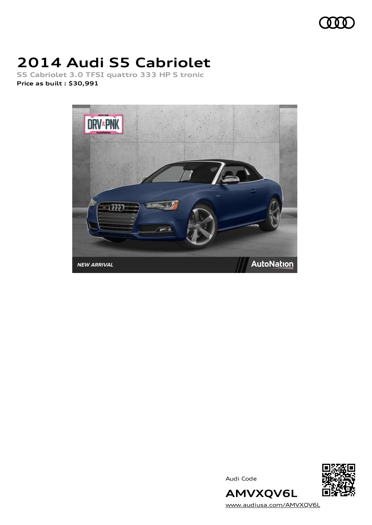

# **2014 Audi S5 Cabriolet**

**S5 Cabriolet 3.0 TFSI quattro 333 HP S tronic Price as built [:](#page-10-0) \$30,991**



Audi Code



[www.audiusa.com/AMVXQV6L](https://www.audiusa.com/AMVXQV6L)

**AMVXQV6L**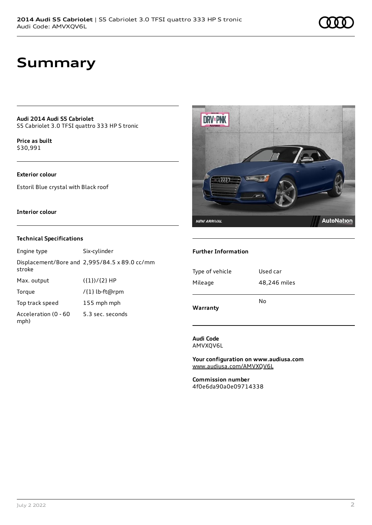### **Summary**

**Audi 2014 Audi S5 Cabriolet** S5 Cabriolet 3.0 TFSI quattro 333 HP S tronic

**Price as buil[t](#page-10-0)** \$30,991

### **Exterior colour**

Estoril Blue crystal with Black roof

#### **Interior colour**

#### **Technical Specifications**

| Engine type                  | Six-cylinder                                  |
|------------------------------|-----------------------------------------------|
| stroke                       | Displacement/Bore and 2,995/84.5 x 89.0 cc/mm |
| Max. output                  | $({1})/{2}$ HP                                |
| Torque                       | /{1} lb-ft@rpm                                |
| Top track speed              | 155 mph mph                                   |
| Acceleration (0 - 60<br>mph) | 5.3 sec. seconds                              |



#### **Further Information**

| No           |
|--------------|
| 48,246 miles |
| Used car     |
|              |

**Audi Code** AMVXQV6L

**Your configuration on www.audiusa.com** [www.audiusa.com/AMVXQV6L](https://www.audiusa.com/AMVXQV6L)

**Commission number** 4f0e6da90a0e09714338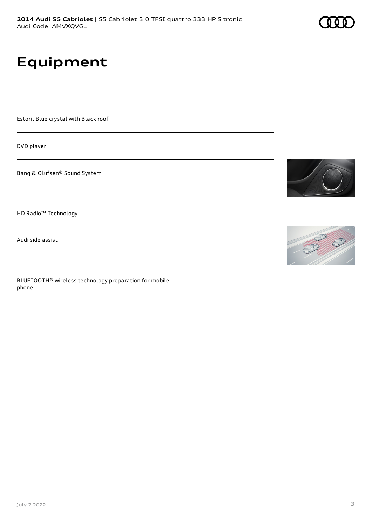# **Equipment**

Estoril Blue crystal with Black roof

DVD player

Bang & Olufsen® Sound System

HD Radio™ Technology

Audi side assist

BLUETOOTH® wireless technology preparation for mobile phone



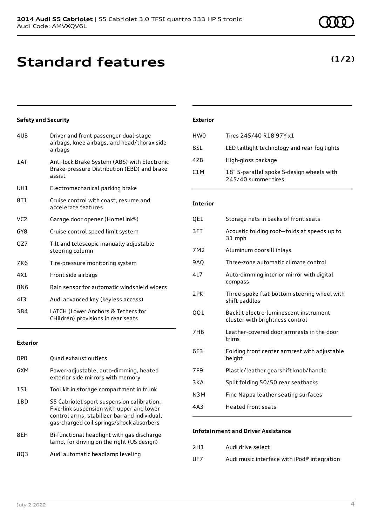### **Standard features**

### **Safety and Security**

| 4UB             | Driver and front passenger dual-stage<br>airbags, knee airbags, and head/thorax side<br>airbags       |
|-----------------|-------------------------------------------------------------------------------------------------------|
| 1 AT            | Anti-lock Brake System (ABS) with Electronic<br>Brake-pressure Distribution (EBD) and brake<br>assist |
| UH <sub>1</sub> | Electromechanical parking brake                                                                       |
| 8T1             | Cruise control with coast, resume and<br>accelerate features                                          |
| VC <sub>2</sub> | Garage door opener (HomeLink®)                                                                        |
| 6Y8             | Cruise control speed limit system                                                                     |
| QZ7             | Tilt and telescopic manually adjustable<br>steering column                                            |
| 7K6             | Tire-pressure monitoring system                                                                       |
| 4X1             | Front side airbags                                                                                    |
| 8N6             | Rain sensor for automatic windshield wipers                                                           |
| 413             | Audi advanced key (keyless access)                                                                    |
| 3B4             | LATCH (Lower Anchors & Tethers for<br>CHildren) provisions in rear seats                              |
|                 |                                                                                                       |

### **Exterior**

| 0PO             | Quad exhaust outlets                                                                                                                                                                |
|-----------------|-------------------------------------------------------------------------------------------------------------------------------------------------------------------------------------|
| 6XM             | Power-adjustable, auto-dimming, heated<br>exterior side mirrors with memory                                                                                                         |
| 1S1             | Tool kit in storage compartment in trunk                                                                                                                                            |
| 1 <sub>BD</sub> | S5 Cabriolet sport suspension calibration.<br>Five-link suspension with upper and lower<br>control arms, stabilizer bar and individual,<br>gas-charged coil springs/shock absorbers |
| 8EH             | Bi-functional headlight with gas discharge<br>lamp, for driving on the right (US design)                                                                                            |
| 803             | Audi automatic headlamp leveling                                                                                                                                                    |

### **Exterior**

| HW0              | Tires 245/40 R18 97Y x1                                          |
|------------------|------------------------------------------------------------------|
| 8.SL             | LED taillight technology and rear fog lights                     |
| 47B              | High-gloss package                                               |
| C <sub>1</sub> M | 18" 5-parallel spoke S-design wheels with<br>245/40 summer tires |

### **Interior**

| QE1             | Storage nets in backs of front seats                                      |
|-----------------|---------------------------------------------------------------------------|
| 3FT             | Acoustic folding roof-folds at speeds up to<br>31 mph                     |
| 7M <sub>2</sub> | Aluminum doorsill inlays                                                  |
| 9AQ             | Three-zone automatic climate control                                      |
| 41 7            | Auto-dimming interior mirror with digital<br>compass                      |
| 2PK             | Three-spoke flat-bottom steering wheel with<br>shift paddles              |
| QQ1             | Backlit electro-luminescent instrument<br>cluster with brightness control |
| 7HB             | Leather-covered door armrests in the door<br>trims                        |
| 6E3             | Folding front center armrest with adjustable<br>height                    |
| 7F9             | Plastic/leather gearshift knob/handle                                     |
| 3 K A           | Split folding 50/50 rear seatbacks                                        |
| N3M             | Fine Nappa leather seating surfaces                                       |
| 4A3             | <b>Heated front seats</b>                                                 |

#### **Infotainment and Driver Assistance**

| 2H1 | Audi drive select |
|-----|-------------------|
|     |                   |

UF7 Audi music interface with iPod® integration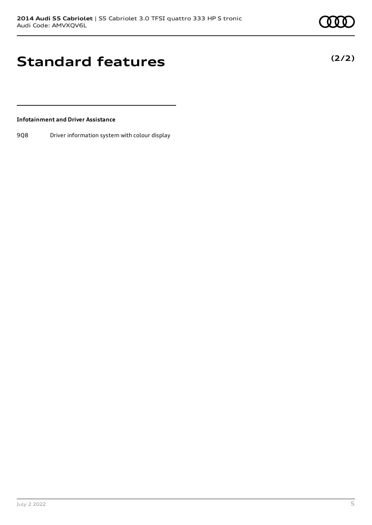**(2/2)**

### **Standard features**

### **Infotainment and Driver Assistance**

9Q8 Driver information system with colour display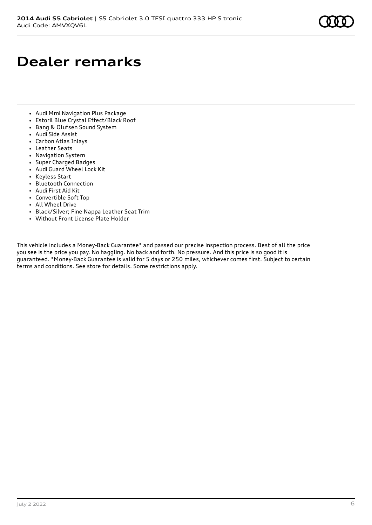# **Dealer remarks**

- Audi Mmi Navigation Plus Package
- Estoril Blue Crystal Effect/Black Roof
- Bang & Olufsen Sound System
- Audi Side Assist
- Carbon Atlas Inlays
- Leather Seats
- Navigation System
- Super Charged Badges
- Audi Guard Wheel Lock Kit
- Keyless Start
- Bluetooth Connection
- Audi First Aid Kit
- Convertible Soft Top
- All Wheel Drive
- Black/Silver; Fine Nappa Leather Seat Trim
- Without Front License Plate Holder

This vehicle includes a Money-Back Guarantee\* and passed our precise inspection process. Best of all the price you see is the price you pay. No haggling. No back and forth. No pressure. And this price is so good it is guaranteed. \*Money-Back Guarantee is valid for 5 days or 250 miles, whichever comes first. Subject to certain terms and conditions. See store for details. Some restrictions apply.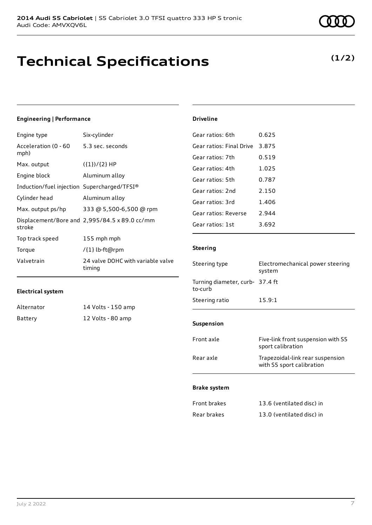### **Technical Specifications**

| <b>Engineering   Performance</b>            |                                               | <b>Driveline</b>                                         |                                                               |
|---------------------------------------------|-----------------------------------------------|----------------------------------------------------------|---------------------------------------------------------------|
| Engine type                                 | Six-cylinder                                  | Gear ratios: 6th                                         | 0.625                                                         |
| Acceleration (0 - 60                        | 5.3 sec. seconds                              | Gear ratios: Final Drive                                 | 3.875                                                         |
| mph)<br>Max. output<br>Engine block         | $({1})/{2}$ HP<br>Aluminum alloy              | Gear ratios: 7th<br>Gear ratios: 4th<br>Gear ratios: 5th | 0.519<br>1.025<br>0.787                                       |
| Induction/fuel injection Supercharged/TFSI® |                                               | Gear ratios: 2nd                                         | 2.150                                                         |
| Cylinder head                               | Aluminum alloy                                | Gear ratios: 3rd                                         | 1.406                                                         |
| Max. output ps/hp                           | 333 @ 5,500-6,500 @ rpm                       | Gear ratios: Reverse                                     | 2.944                                                         |
| stroke                                      | Displacement/Bore and 2,995/84.5 x 89.0 cc/mm | Gear ratios: 1st                                         | 3.692                                                         |
| Top track speed                             | 155 mph mph                                   |                                                          |                                                               |
| Torque                                      | /{1} lb-ft@rpm                                | <b>Steering</b>                                          |                                                               |
| Valvetrain                                  | 24 valve DOHC with variable valve<br>timing   | Steering type                                            | Electromechanical power steering<br>system                    |
| <b>Electrical system</b>                    |                                               | Turning diameter, curb- 37.4 ft<br>to-curb               |                                                               |
|                                             |                                               | Steering ratio                                           | 15.9:1                                                        |
| Alternator                                  | 14 Volts - 150 amp                            |                                                          |                                                               |
| Battery                                     | 12 Volts - 80 amp                             | Suspension                                               |                                                               |
|                                             |                                               | Front axle                                               | Five-link front suspension with S5<br>sport calibration       |
|                                             |                                               | Rear axle                                                | Trapezoidal-link rear suspension<br>with S5 sport calibration |
|                                             |                                               | <b>Brake system</b>                                      |                                                               |
|                                             |                                               | Front brakes                                             | 13.6 (ventilated disc) in                                     |
|                                             |                                               | Rear brakes                                              | 13.0 (ventilated disc) in                                     |
|                                             |                                               |                                                          |                                                               |

#### July 2 2022 7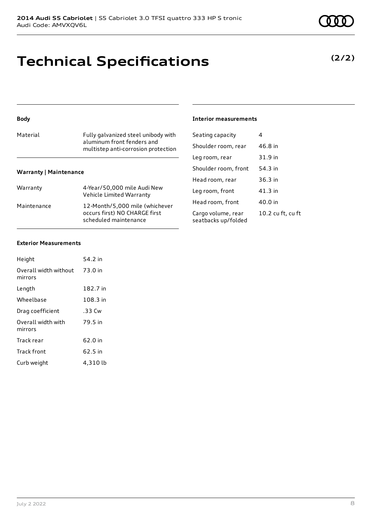### **Technical Specifications**

| Material | Fully galvanized steel unibody with<br>aluminum front fenders and<br>multistep anti-corrosion protection |
|----------|----------------------------------------------------------------------------------------------------------|
|          |                                                                                                          |

### **Warranty | Maintenance**

| Warranty    | 4-Year/50,000 mile Audi New<br>Vehicle Limited Warranty                                  |
|-------------|------------------------------------------------------------------------------------------|
| Maintenance | 12-Month/5,000 mile (whichever<br>occurs first) NO CHARGE first<br>scheduled maintenance |

| Seating capacity    | 4         |
|---------------------|-----------|
| Shoulder room, rear | 46.8 in   |
| lag room raar       | $21$ Q in |

**Interior measurements**

| Leg room, rear                            | 31.9 in           |
|-------------------------------------------|-------------------|
| Shoulder room, front                      | 54.3 in           |
| Head room, rear                           | 36.3 in           |
| Leg room, front                           | 41.3 in           |
| Head room, front                          | 40.0 in           |
| Cargo volume, rear<br>seatbacks up/folded | 10.2 cu ft, cu ft |

#### **Exterior Measurements**

| Height                           | 54.2 in  |
|----------------------------------|----------|
| Overall width without<br>mirrors | 73.0 in  |
| Length                           | 182.7 in |
| Wheelbase                        | 108.3 in |
| Drag coefficient                 | .33 Cw   |
| Overall width with<br>mirrors    | 79.5 in  |
| Track rear                       | 62.0 in  |
| <b>Track front</b>               | 62.5 in  |
| Curb weight                      | 4,310 lb |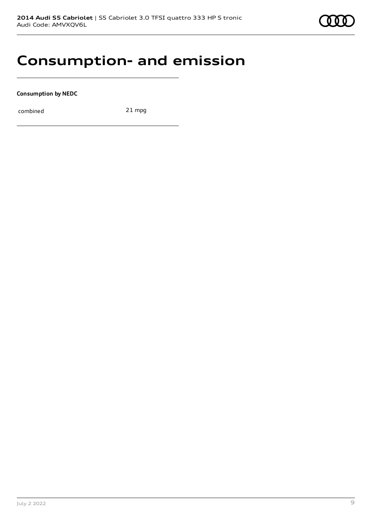

### **Consumption- and emission**

**Consumption by NEDC**

combined 21 mpg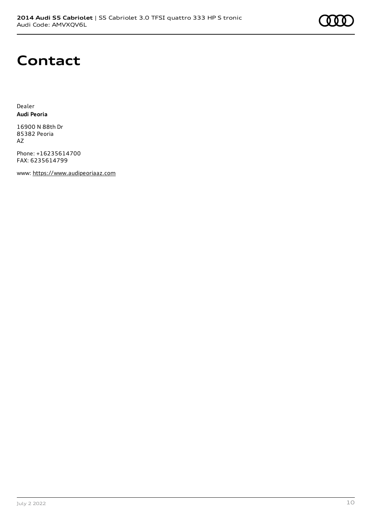### **Contact**

Dealer **Audi Peoria**

16900 N 88th Dr 85382 Peoria AZ

Phone: +16235614700 FAX: 6235614799

www: [https://www.audipeoriaaz.com](https://www.audipeoriaaz.com/)